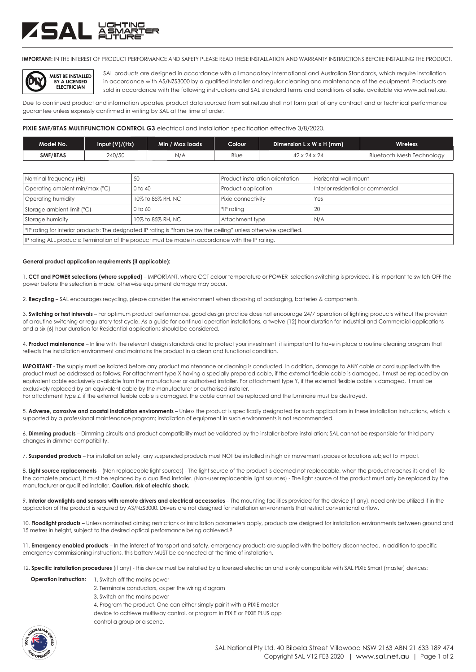## **ZSAL ASHT**

**IMPORTANT:** IN THE INTEREST OF PRODUCT PERFORMANCE AND SAFETY PLEASE READ THESE INSTALLATION AND WARRANTY INSTRUCTIONS BEFORE INSTALLING THE PRODUCT.



SAL products are designed in accordance with all mandatory International and Australian Standards, which require installation in accordance with AS/NZS3000 by a qualified installer and regular cleaning and maintenance of the equipment. Products are sold in accordance with the following instructions and SAL standard terms and conditions of sale, available via www.sal.net.au.

Due to continued product and information updates, product data sourced from sal.net.au shall not form part of any contract and or technical performance guarantee unless expressly confirmed in writing by SAL at the time of order.

### **PIXIE SMF/BTAS MULTIFUNCTION CONTROL G3** electrical and installation specification effective 3/8/2020.

| Model No. | Input $(V)/(Hz)$ | Min / Max loads | Colour ' | Dimension $L \times W \times H$ (mm) | <b>Wireless</b>                  |
|-----------|------------------|-----------------|----------|--------------------------------------|----------------------------------|
| SMF/BTAS  | 240/50           | N/A             | Blue     | $42 \times 24 \times 24$             | <b>Bluetooth Mesh Technology</b> |

| Nominal frequency (Hz)                                                                                             | 50                | Product installation orientation | Horizontal wall mount              |  |
|--------------------------------------------------------------------------------------------------------------------|-------------------|----------------------------------|------------------------------------|--|
| Operating ambient min/max (°C)                                                                                     | 0 to 40           | Product application              | Interior residential or commercial |  |
| Operating humidity                                                                                                 | 10% to 85% RH, NC | Pixie connectivity               | Yes                                |  |
| Storage ambient limit (°C)                                                                                         | $0$ to 60         | $*$ P ratina                     | 20                                 |  |
| Storage humidity                                                                                                   | 10% to 85% RH, NC | Attachment type                  | N/A                                |  |
| *IP rating for interior products: The designated IP rating is "from below the ceiling" unless otherwise specified. |                   |                                  |                                    |  |
| If Prating ALL products: Termination of the product must be made in accordance with the IP rating.                 |                   |                                  |                                    |  |

**General product application requirements (if applicable):**

1. **CCT and POWER selections (where supplied)** – IMPORTANT, where CCT colour temperature or POWER selection switching is provided, it is important to switch OFF the power before the selection is made, otherwise equipment damage may occur.

2. **Recycling** – SAL encourages recycling, please consider the environment when disposing of packaging, batteries & components.

3. **Switching or test intervals** – For optimum product performance, good design practice does not encourage 24/7 operation of lighting products without the provision of a routine switching or regulatory test cycle. As a guide for continual operation installations, a twelve (12) hour duration for Industrial and Commercial applications and a six (6) hour duration for Residential applications should be considered.

4. **Product maintenance** – In line with the relevant design standards and to protect your investment, it is important to have in place a routine cleaning program that reflects the installation environment and maintains the product in a clean and functional condition.

**IMPORTANT** - The supply must be isolated before any product maintenance or cleaning is conducted. In addition, damage to ANY cable or cord supplied with the product must be addressed as follows; For attachment type X having a specially prepared cable, if the external flexible cable is damaged, it must be replaced by an equivalent cable exclusively available from the manufacturer or authorised installer. For attachment type Y, if the external flexible cable is damaged, it must be exclusively replaced by an equivalent cable by the manufacturer or authorised installer. For attachment type Z, if the external flexible cable is damaged, the cable cannot be replaced and the luminaire must be destroyed.

5. **Adverse, corrosive and coastal installation environments** – Unless the product is specifically designated for such applications in these installation instructions, which is supported by a professional maintenance program; installation of equipment in such environments is not recommended.

6. **Dimming products** – Dimming circuits and product compatibility must be validated by the installer before installation; SAL cannot be responsible for third party changes in dimmer compatibility.

7. **Suspended products** – For installation safety, any suspended products must NOT be installed in high air movement spaces or locations subject to impact.

8. Light source replacements – (Non-replaceable light sources) - The light source of the product is deemed not replaceable, when the product reaches its end of life the complete product, it must be replaced by a qualified installer. (Non-user replaceable light sources) - The light source of the product must only be replaced by the manufacturer or qualified installer. **Caution, risk of electric shock.**

9. Interior downlights and sensors with remote drivers and electrical accessories – The mounting facilities provided for the device (if any), need only be utilized if in the application of the product is required by AS/NZS3000. Drivers are not designed for installation environments that restrict conventional airflow.

10. Floodlight products - Unless nominated aiming restrictions or installation parameters apply, products are designed for installation environments between ground and 15 metres in height, subject to the desired optical performance being achieved.?

11. **Emergency enabled products** – In the interest of transport and safety, emergency products are supplied with the battery disconnected. In addition to specific emergency commissioning instructions, this battery MUST be connected at the time of installation.

12. **Specific installation procedures** (if any) - this device must be installed by a licensed electrician and is only compatible with SAL PIXIE Smart (master) devices:

## **Operation instruction:** 1. Switch off the mains power

- 2. Terminate conductors, as per the wiring diagram
- 3. Switch on the mains power
- 4. Program the product. One can either simply pair it with a PIXIE master
- device to achieve multiway control, or program in PIXIE or PIXIE PLUS app
- control a group or a scene.